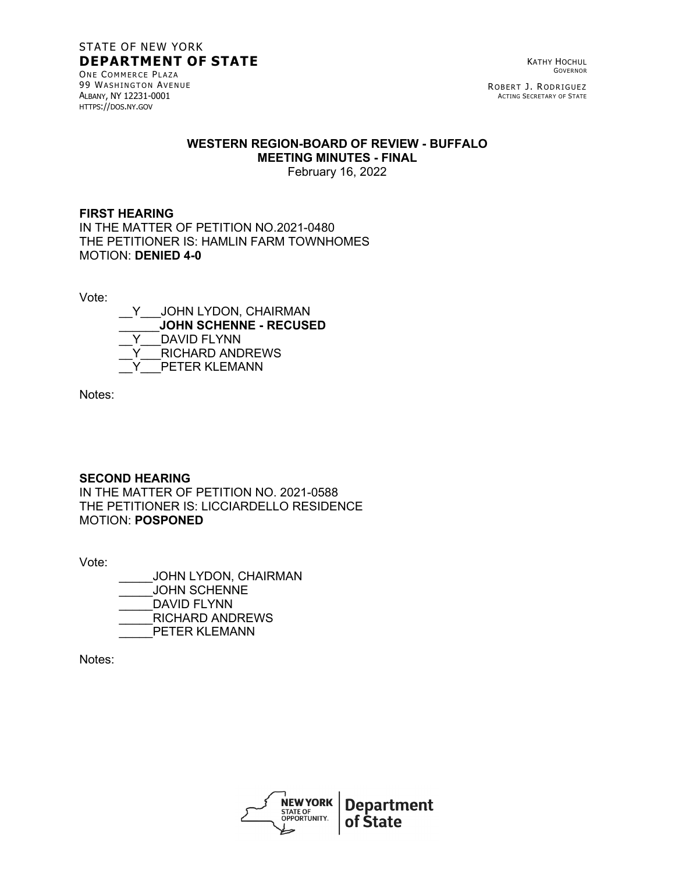#### STATE OF NEW YORK **DEPARTMENT OF STATE** ONE COMMERCE PLAZA

99 WASHINGTON AVENUE ALBANY, NY 12231-0001 HTTPS://DOS.NY.GOV

KATHY HOCHUL GOVERNOR

ROBERT J. RODRIGUEZ ACTING SECRETARY OF STATE

## **WESTERN REGION-BOARD OF REVIEW - BUFFALO MEETING MINUTES - FINAL**

February 16, 2022

### **FIRST HEARING**

IN THE MATTER OF PETITION NO.2021-0480 THE PETITIONER IS: HAMLIN FARM TOWNHOMES MOTION: **DENIED 4-0**

Vote:

Y JOHN LYDON, CHAIRMAN \_\_\_\_\_\_**JOHN SCHENNE - RECUSED** DAVID FLYNN Y RICHARD ANDREWS Y PETER KLEMANN

Notes:

#### **SECOND HEARING**

IN THE MATTER OF PETITION NO. 2021-0588 THE PETITIONER IS: LICCIARDELLO RESIDENCE MOTION: **POSPONED**

Vote:

JOHN LYDON, CHAIRMAN \_\_\_\_\_JOHN SCHENNE DAVID FLYNN \_\_\_\_\_RICHARD ANDREWS PETER KLEMANN

Notes:

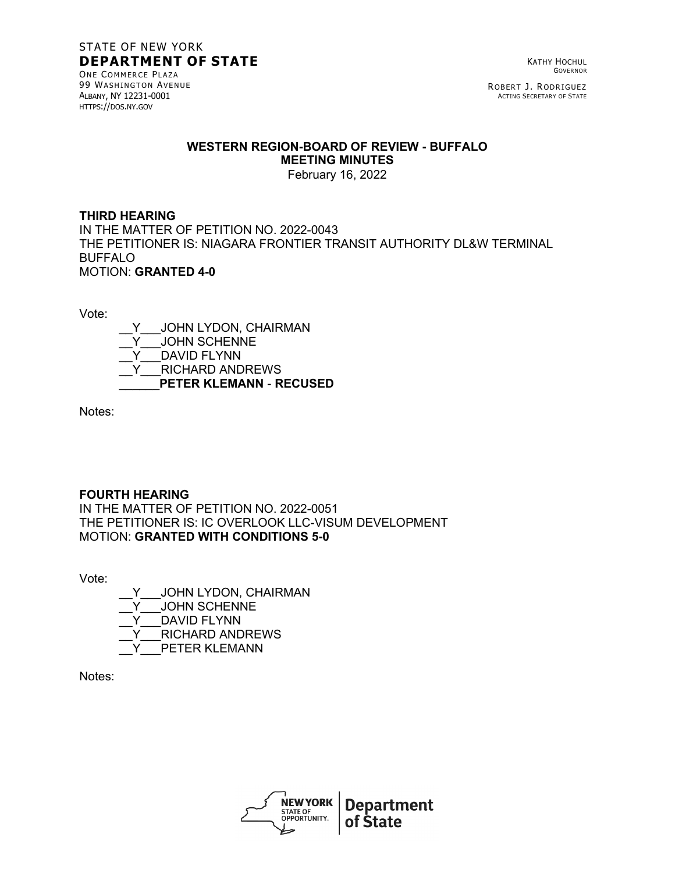#### STATE OF NEW YORK **DEPARTMENT OF STATE** ONE COMMERCE PLAZA

99 WASHINGTON AVENUE ALBANY, NY 12231-0001 HTTPS://DOS.NY.GOV

KATHY HOCHUL GOVERNOR

ROBERT J. RODRIGUEZ ACTING SECRETARY OF STATE

#### **WESTERN REGION-BOARD OF REVIEW - BUFFALO MEETING MINUTES**

February 16, 2022

## **THIRD HEARING**

IN THE MATTER OF PETITION NO. 2022-0043 THE PETITIONER IS: NIAGARA FRONTIER TRANSIT AUTHORITY DL&W TERMINAL BUFFALO MOTION: **GRANTED 4-0**

Vote:

\_\_Y\_\_\_JOHN LYDON, CHAIRMAN JOHN SCHENNE DAVID FLYNN \_\_Y\_\_\_RICHARD ANDREWS \_\_\_\_\_\_**PETER KLEMANN** - **RECUSED**

Notes:

## **FOURTH HEARING**

IN THE MATTER OF PETITION NO. 2022-0051 THE PETITIONER IS: IC OVERLOOK LLC-VISUM DEVELOPMENT MOTION: **GRANTED WITH CONDITIONS 5-0**

Vote:

Y JOHN LYDON, CHAIRMAN Y JOHN SCHENNE DAVID FLYNN \_\_Y\_\_\_RICHARD ANDREWS PETER KLEMANN

Notes: